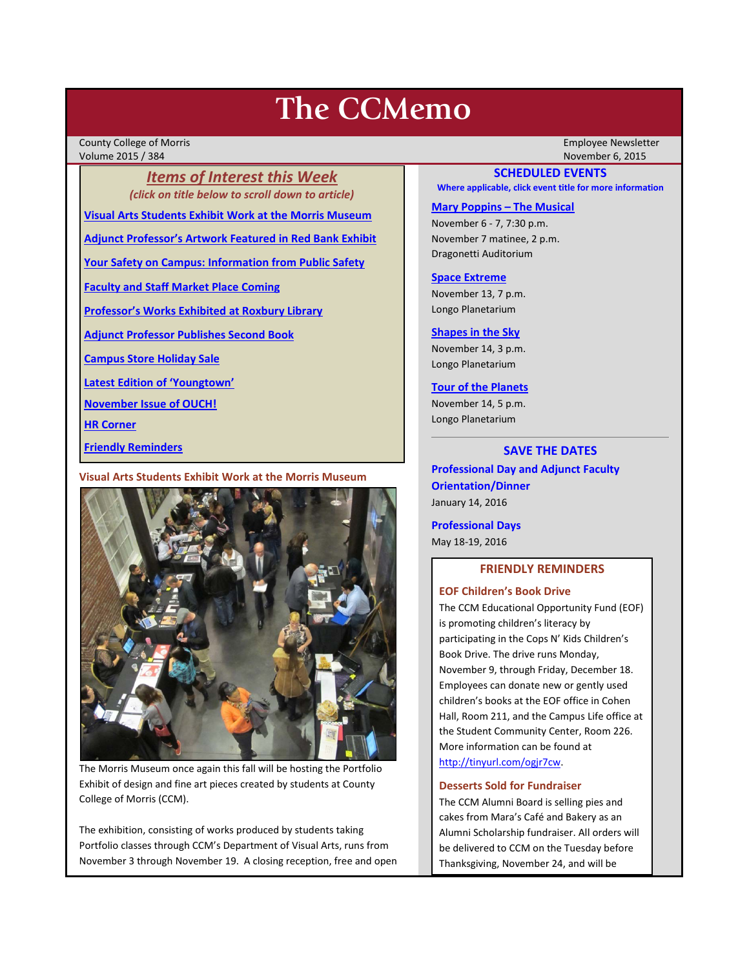# **The CCMemo**

County College of Morris Employee Newsletter Volume 2015 / 384 November 6, 2015

*Items of Interest this Week (click on title below to scroll down to article)*

**[Visual Arts Students Exhibit Work at the Morris Museum](#page-0-0)**

**[Adjunct Professor's Artwork Featured in Red Bank Exhibit](#page-1-0)**

**[Your Safety on Campus: Information from Public Safety](#page-1-1)**

**[Faculty and Staff Market Place Coming](#page-1-2)**

**[Professor's Works Exhibited at Roxbury Library](#page-1-3)**

**[Adjunct Professor Publishes Second Book](#page-2-0)**

**[Campus Store Holiday Sale](#page-2-1)**

**[Latest Edition of 'Youngtown'](#page-2-2)**

**[November Issue of OUCH!](#page-2-3)**

**[HR Corner](#page-2-4)**

**[Friendly Reminders](#page-0-1)**

## <span id="page-0-0"></span>**Visual Arts Students Exhibit Work at the Morris Museum**



The Morris Museum once again this fall will be hosting the Portfolio Exhibit of design and fine art pieces created by students at County College of Morris (CCM).

The exhibition, consisting of works produced by students taking Portfolio classes through CCM's Department of Visual Arts, runs from November 3 through November 19. A closing reception, free and open

## **SCHEDULED EVENTS**

**Where applicable, click event title for more information**

#### **[Mary Poppins –](http://www.ccm.edu/newsEvents/eventDetails.aspx?Channel=/Channels/Sitewide&WorkflowItemID=ffeb39ff-f7da-4fea-b9e5-d499448c4e3d) The Musical**

November 6 - 7, 7:30 p.m. November 7 matinee, 2 p.m. Dragonetti Auditorium

#### **[Space Extreme](http://www.ccm.edu/newsEvents/eventDetails.aspx?Channel=/Channels/Sitewide&WorkflowItemID=1874a4b0-0bcb-4ed1-a29e-7b4f8d25e45d)**

November 13, 7 p.m. Longo Planetarium

#### **[Shapes in the Sky](http://www.ccm.edu/newsEvents/eventDetails.aspx?Channel=/Channels/Sitewide&WorkflowItemID=1922c928-86d3-4e75-b6a2-fd618033989c)**

November 14, 3 p.m. Longo Planetarium

#### **[Tour of the Planets](http://www.ccm.edu/newsEvents/eventDetails.aspx?Channel=/Channels/Sitewide&WorkflowItemID=5834aa20-68ba-4fa2-a3ac-75b2311ba441)**

November 14, 5 p.m. Longo Planetarium

# **SAVE THE DATES**

**Professional Day and Adjunct Faculty Orientation/Dinner** January 14, 2016

**Professional Days** May 18-19, 2016

# **FRIENDLY REMINDERS**

<span id="page-0-1"></span>**EOF Children's Book Drive**

The CCM Educational Opportunity Fund (EOF) is promoting children's literacy by participating in the Cops N' Kids Children's Book Drive. The drive runs Monday, November 9, through Friday, December 18. Employees can donate new or gently used children's books at the EOF office in Cohen Hall, Room 211, and the Campus Life office at the Student Community Center, Room 226. More information can be found at [http://tinyurl.com/ogjr7cw.](http://tinyurl.com/ogjr7cw)

# **Desserts Sold for Fundraiser**

The CCM Alumni Board is selling pies and cakes from Mara's Café and Bakery as an Alumni Scholarship fundraiser. All orders will be delivered to CCM on the Tuesday before Thanksgiving, November 24, and will be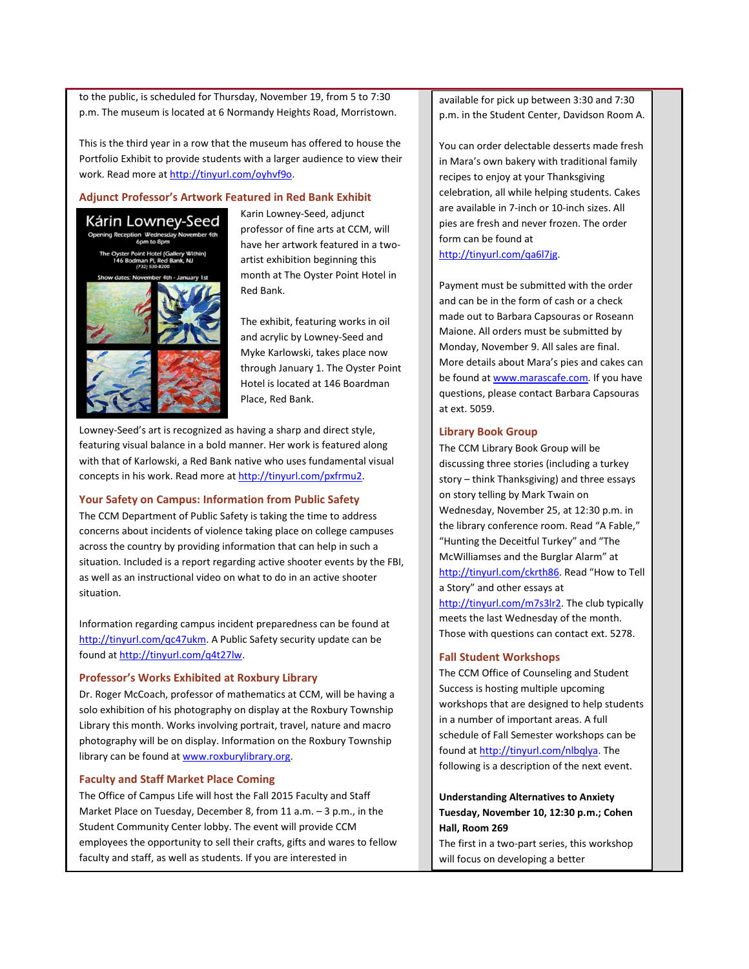to the public, is scheduled for Thursday, November 19, from 5 to 7:30 p.m. The museum is located at 6 Normandy Heights Road, Morristown.

This is the third year in a row that the museum has offered to house the Portfolio Exhibit to provide students with a larger audience to view their work. Read more at [http://tinyurl.com/oyhvf9o.](http://tinyurl.com/oyhvf9o)

# <span id="page-1-0"></span>**Adjunct Professor's Artwork Featured in Red Bank Exhibit**



Karin Lowney-Seed, adjunct professor of fine arts at CCM, will have her artwork featured in a twoartist exhibition beginning this month at The Oyster Point Hotel in Red Bank.

The exhibit, featuring works in oil and acrylic by Lowney-Seed and Myke Karlowski, takes place now through January 1. The Oyster Point Hotel is located at 146 Boardman Place, Red Bank.

Lowney-Seed's art is recognized as having a sharp and direct style, featuring visual balance in a bold manner. Her work is featured along with that of Karlowski, a Red Bank native who uses fundamental visual concepts in his work. Read more at [http://tinyurl.com/pxfrmu2.](http://tinyurl.com/pxfrmu2)

# <span id="page-1-1"></span>**Your Safety on Campus: Information from Public Safety**

The CCM Department of Public Safety is taking the time to address concerns about incidents of violence taking place on college campuses across the country by providing information that can help in such a situation. Included is a report regarding active shooter events by the FBI, as well as an instructional video on what to do in an active shooter situation.

Information regarding campus incident preparedness can be found at [http://tinyurl.com/qc47ukm.](http://tinyurl.com/qc47ukm) A Public Safety security update can be found at [http://tinyurl.com/q4t27lw.](http://tinyurl.com/q4t27lw)

### <span id="page-1-3"></span>**Professor's Works Exhibited at Roxbury Library**

Dr. Roger McCoach, professor of mathematics at CCM, will be having a solo exhibition of his photography on display at the Roxbury Township Library this month. Works involving portrait, travel, nature and macro photography will be on display. Information on the Roxbury Township library can be found a[t www.roxburylibrary.org.](http://www.roxburylibrary.org/)

## <span id="page-1-2"></span>**Faculty and Staff Market Place Coming**

The Office of Campus Life will host the Fall 2015 Faculty and Staff Market Place on Tuesday, December 8, from 11 a.m. – 3 p.m., in the Student Community Center lobby. The event will provide CCM employees the opportunity to sell their crafts, gifts and wares to fellow faculty and staff, as well as students. If you are interested in

available for pick up between 3:30 and 7:30 p.m. in the Student Center, Davidson Room A.

You can order delectable desserts made fresh in Mara's own bakery with traditional family recipes to enjoy at your Thanksgiving celebration, all while helping students. Cakes are available in 7-inch or 10-inch sizes. All pies are fresh and never frozen. The order form can be found at

[http://tinyurl.com/qa6l7jg.](http://tinyurl.com/qa6l7jg)

Payment must be submitted with the order and can be in the form of cash or a check made out to Barbara Capsouras or Roseann Maione. All orders must be submitted by Monday, November 9. All sales are final. More details about Mara's pies and cakes can be found a[t www.marascafe.com.](http://www.marascafe.com/) If you have questions, please contact Barbara Capsouras at ext. 5059.

## **Library Book Group**

The CCM Library Book Group will be discussing three stories (including a turkey story – think Thanksgiving) and three essays on story telling by Mark Twain on Wednesday, November 25, at 12:30 p.m. in the library conference room. Read "A Fable," "Hunting the Deceitful Turkey" and "The McWilliamses and the Burglar Alarm" at [http://tinyurl.com/ckrth86.](http://tinyurl.com/ckrth86) Read "How to Tell a Story" and other essays at

http://tinyurl.com/m7s3lr2</u>. The club typically meets the last Wednesday of the month. Those with questions can contact ext. 5278.

# **Fall Student Workshops**

The CCM Office of Counseling and Student Success is hosting multiple upcoming workshops that are designed to help students in a number of important areas. A full schedule of Fall Semester workshops can be found a[t http://tinyurl.com/nlbqlya.](http://tinyurl.com/nlbqlya) The following is a description of the next event.

**Understanding Alternatives to Anxiety Tuesday, November 10, 12:30 p.m.; Cohen Hall, Room 269**

The first in a two-part series, this workshop will focus on developing a better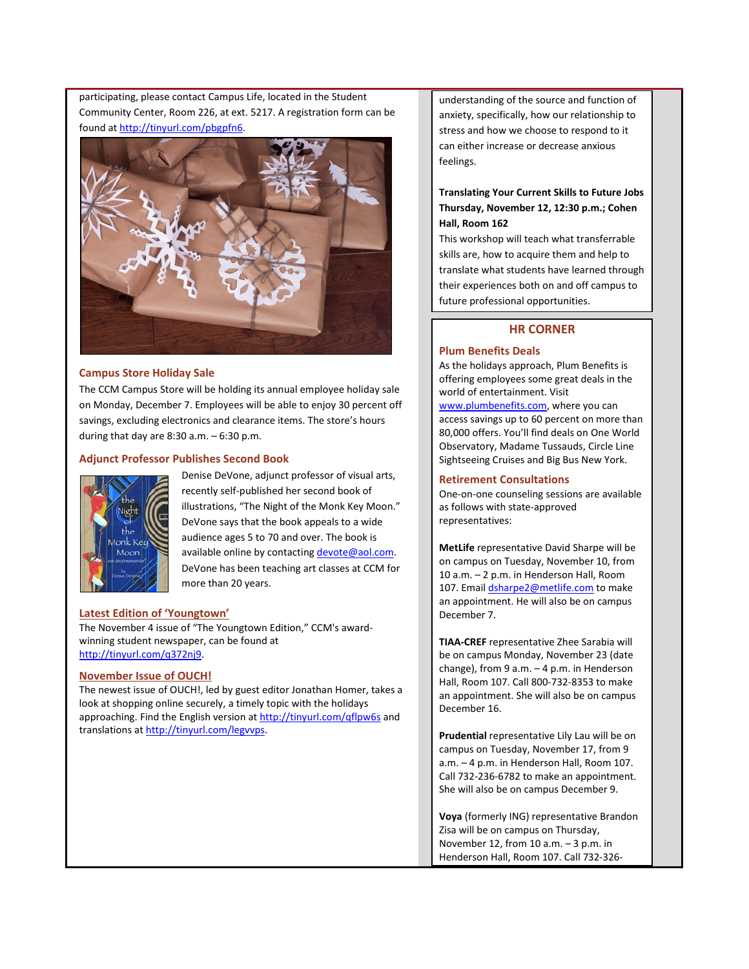participating, please contact Campus Life, located in the Student Community Center, Room 226, at ext. 5217. A registration form can be found at [http://tinyurl.com/pbgpfn6.](http://tinyurl.com/pbgpfn6) 



#### <span id="page-2-1"></span>**Campus Store Holiday Sale**

The CCM Campus Store will be holding its annual employee holiday sale on Monday, December 7. Employees will be able to enjoy 30 percent off savings, excluding electronics and clearance items. The store's hours during that day are  $8:30$  a.m.  $-6:30$  p.m.

#### <span id="page-2-0"></span>**Adjunct Professor Publishes Second Book**



Denise DeVone, adjunct professor of visual arts, recently self-published her second book of illustrations, "The Night of the Monk Key Moon." DeVone says that the book appeals to a wide audience ages 5 to 70 and over. The book is available online by contactin[g devote@aol.com.](mailto:devote@aol.com) DeVone has been teaching art classes at CCM for more than 20 years.

#### <span id="page-2-2"></span>**Latest Edition of 'Youngtown'**

The November 4 issue of "The Youngtown Edition," CCM's awardwinning student newspaper, can be found at [http://tinyurl.com/q372nj9.](http://tinyurl.com/q372nj9)

#### <span id="page-2-3"></span>**November Issue of OUCH!**

The newest issue of OUCH!, led by guest editor Jonathan Homer, takes a look at shopping online securely, a timely topic with the holidays approaching. Find the English version a[t http://tinyurl.com/qflpw6s](http://tinyurl.com/qflpw6s) and translations a[t http://tinyurl.com/legvvps.](http://tinyurl.com/legvvps)

understanding of the source and function of anxiety, specifically, how our relationship to stress and how we choose to respond to it can either increase or decrease anxious feelings.

# **Translating Your Current Skills to Future Jobs Thursday, November 12, 12:30 p.m.; Cohen Hall, Room 162**

This workshop will teach what transferrable skills are, how to acquire them and help to translate what students have learned through their experiences both on and off campus to future professional opportunities.

# **HR CORNER**

# <span id="page-2-4"></span>**Plum Benefits Deals**

As the holidays approach, Plum Benefits is offering employees some great deals in the world of entertainment. Visit [www.plumbenefits.com,](http://www.plumbenefits.com/) where you can access savings up to 60 percent on more than 80,000 offers. You'll find deals on One World Observatory, Madame Tussauds, Circle Line Sightseeing Cruises and Big Bus New York.

#### **Retirement Consultations**

One-on-one counseling sessions are available as follows with state-approved representatives:

**MetLife** representative David Sharpe will be on campus on Tuesday, November 10, from 10 a.m. – 2 p.m. in Henderson Hall, Room 107. Emai[l dsharpe2@metlife.com](mailto:dsharpe2@metlife.com) to make an appointment. He will also be on campus December 7.

**TIAA-CREF** representative Zhee Sarabia will be on campus Monday, November 23 (date change), from 9 a.m. – 4 p.m. in Henderson Hall, Room 107. Call 800-732-8353 to make an appointment. She will also be on campus December 16.

**Prudential** representative Lily Lau will be on campus on Tuesday, November 17, from 9 a.m. – 4 p.m. in Henderson Hall, Room 107. Call 732-236-6782 to make an appointment. She will also be on campus December 9.

**Voya** (formerly ING) representative Brandon Zisa will be on campus on Thursday, November 12, from 10  $a.m. - 3 p.m.$  in Henderson Hall, Room 107. Call 732-326-